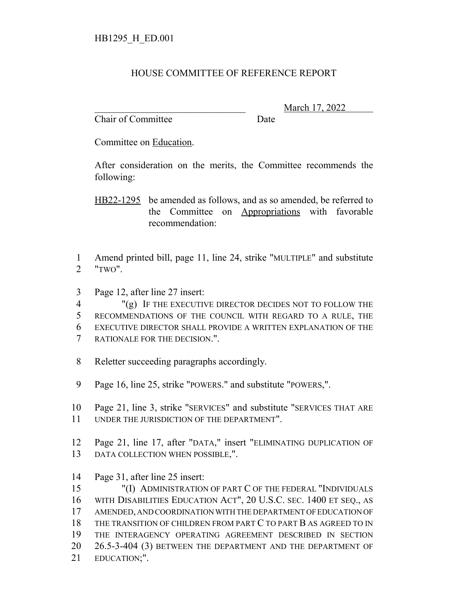## HOUSE COMMITTEE OF REFERENCE REPORT

Chair of Committee Date

\_\_\_\_\_\_\_\_\_\_\_\_\_\_\_\_\_\_\_\_\_\_\_\_\_\_\_\_\_\_\_ March 17, 2022

Committee on Education.

After consideration on the merits, the Committee recommends the following:

HB22-1295 be amended as follows, and as so amended, be referred to the Committee on Appropriations with favorable recommendation:

 Amend printed bill, page 11, line 24, strike "MULTIPLE" and substitute "TWO".

Page 12, after line 27 insert:

 "(g) IF THE EXECUTIVE DIRECTOR DECIDES NOT TO FOLLOW THE RECOMMENDATIONS OF THE COUNCIL WITH REGARD TO A RULE, THE EXECUTIVE DIRECTOR SHALL PROVIDE A WRITTEN EXPLANATION OF THE RATIONALE FOR THE DECISION.".

- Reletter succeeding paragraphs accordingly.
- Page 16, line 25, strike "POWERS." and substitute "POWERS,".
- Page 21, line 3, strike "SERVICES" and substitute "SERVICES THAT ARE UNDER THE JURISDICTION OF THE DEPARTMENT".
- Page 21, line 17, after "DATA," insert "ELIMINATING DUPLICATION OF 13 DATA COLLECTION WHEN POSSIBLE,".
- Page 31, after line 25 insert:

 "(I) ADMINISTRATION OF PART C OF THE FEDERAL "INDIVIDUALS WITH DISABILITIES EDUCATION ACT", 20 U.S.C. SEC. 1400 ET SEQ., AS AMENDED, AND COORDINATION WITH THE DEPARTMENT OF EDUCATION OF THE TRANSITION OF CHILDREN FROM PART C TO PART B AS AGREED TO IN THE INTERAGENCY OPERATING AGREEMENT DESCRIBED IN SECTION 26.5-3-404 (3) BETWEEN THE DEPARTMENT AND THE DEPARTMENT OF EDUCATION;".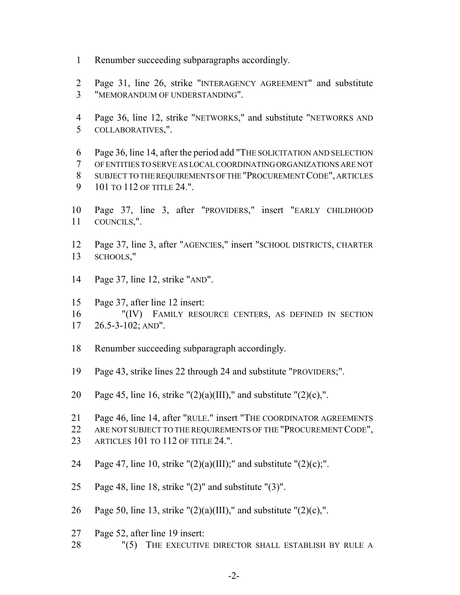- Renumber succeeding subparagraphs accordingly.
- Page 31, line 26, strike "INTERAGENCY AGREEMENT" and substitute "MEMORANDUM OF UNDERSTANDING".
- Page 36, line 12, strike "NETWORKS," and substitute "NETWORKS AND COLLABORATIVES,".
- Page 36, line 14, after the period add "THE SOLICITATION AND SELECTION OF ENTITIES TO SERVE AS LOCAL COORDINATING ORGANIZATIONS ARE NOT SUBJECT TO THE REQUIREMENTS OF THE "PROCUREMENT CODE", ARTICLES 9 101 TO 112 OF TITLE 24.".
- Page 37, line 3, after "PROVIDERS," insert "EARLY CHILDHOOD COUNCILS,".
- Page 37, line 3, after "AGENCIES," insert "SCHOOL DISTRICTS, CHARTER SCHOOLS,"
- Page 37, line 12, strike "AND".
- Page 37, after line 12 insert:
- "(IV) FAMILY RESOURCE CENTERS, AS DEFINED IN SECTION 26.5-3-102; AND".
- Renumber succeeding subparagraph accordingly.
- Page 43, strike lines 22 through 24 and substitute "PROVIDERS;".
- 20 Page 45, line 16, strike " $(2)(a)(III)$ ," and substitute " $(2)(c)$ ,".
- Page 46, line 14, after "RULE." insert "THE COORDINATOR AGREEMENTS
- 22 ARE NOT SUBJECT TO THE REQUIREMENTS OF THE "PROCUREMENT CODE",
- ARTICLES 101 TO 112 OF TITLE 24.".
- 24 Page 47, line 10, strike " $(2)(a)(III)$ ;" and substitute " $(2)(c)$ ;".
- Page 48, line 18, strike "(2)" and substitute "(3)".
- 26 Page 50, line 13, strike " $(2)(a)(III)$ ," and substitute " $(2)(c)$ ,".
- Page 52, after line 19 insert:
- 28 "(5) THE EXECUTIVE DIRECTOR SHALL ESTABLISH BY RULE A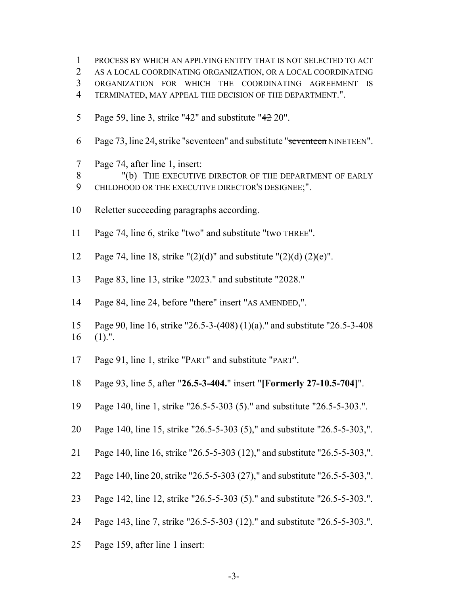PROCESS BY WHICH AN APPLYING ENTITY THAT IS NOT SELECTED TO ACT AS A LOCAL COORDINATING ORGANIZATION, OR A LOCAL COORDINATING ORGANIZATION FOR WHICH THE COORDINATING AGREEMENT IS

- TERMINATED, MAY APPEAL THE DECISION OF THE DEPARTMENT.".
- 5 Page 59, line 3, strike "42" and substitute " 20".
- 6 Page 73, line 24, strike "seventeen" and substitute "seventeen NINETEEN".
- Page 74, after line 1, insert:
- 8 "(b) THE EXECUTIVE DIRECTOR OF THE DEPARTMENT OF EARLY
- CHILDHOOD OR THE EXECUTIVE DIRECTOR'S DESIGNEE;".
- Reletter succeeding paragraphs according.
- 11 Page 74, line 6, strike "two" and substitute "two THREE".
- 12 Page 74, line 18, strike " $(2)(d)$ " and substitute " $\left(\frac{2}{d}\right)(2)(e)$ ".
- Page 83, line 13, strike "2023." and substitute "2028."
- Page 84, line 24, before "there" insert "AS AMENDED,".
- Page 90, line 16, strike "26.5-3-(408) (1)(a)." and substitute "26.5-3-408 (1).".
- Page 91, line 1, strike "PART" and substitute "PART".
- Page 93, line 5, after "**26.5-3-404.**" insert "**[Formerly 27-10.5-704]**".
- Page 140, line 1, strike "26.5-5-303 (5)." and substitute "26.5-5-303.".
- Page 140, line 15, strike "26.5-5-303 (5)," and substitute "26.5-5-303,".
- Page 140, line 16, strike "26.5-5-303 (12)," and substitute "26.5-5-303,".
- Page 140, line 20, strike "26.5-5-303 (27)," and substitute "26.5-5-303,".
- Page 142, line 12, strike "26.5-5-303 (5)." and substitute "26.5-5-303.".
- Page 143, line 7, strike "26.5-5-303 (12)." and substitute "26.5-5-303.".
- Page 159, after line 1 insert: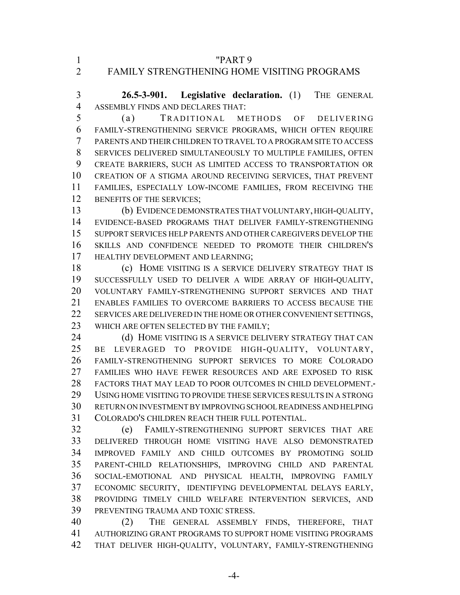"PART 9 FAMILY STRENGTHENING HOME VISITING PROGRAMS

 **26.5-3-901. Legislative declaration.** (1) THE GENERAL ASSEMBLY FINDS AND DECLARES THAT:

 (a) TRADITIONAL METHODS OF DELIVERING FAMILY-STRENGTHENING SERVICE PROGRAMS, WHICH OFTEN REQUIRE PARENTS AND THEIR CHILDREN TO TRAVEL TO A PROGRAM SITE TO ACCESS SERVICES DELIVERED SIMULTANEOUSLY TO MULTIPLE FAMILIES, OFTEN CREATE BARRIERS, SUCH AS LIMITED ACCESS TO TRANSPORTATION OR CREATION OF A STIGMA AROUND RECEIVING SERVICES, THAT PREVENT FAMILIES, ESPECIALLY LOW-INCOME FAMILIES, FROM RECEIVING THE 12 BENEFITS OF THE SERVICES;

 (b) EVIDENCE DEMONSTRATES THAT VOLUNTARY, HIGH-QUALITY, EVIDENCE-BASED PROGRAMS THAT DELIVER FAMILY-STRENGTHENING SUPPORT SERVICES HELP PARENTS AND OTHER CAREGIVERS DEVELOP THE SKILLS AND CONFIDENCE NEEDED TO PROMOTE THEIR CHILDREN'S 17 HEALTHY DEVELOPMENT AND LEARNING;

 (c) HOME VISITING IS A SERVICE DELIVERY STRATEGY THAT IS SUCCESSFULLY USED TO DELIVER A WIDE ARRAY OF HIGH-QUALITY, VOLUNTARY FAMILY-STRENGTHENING SUPPORT SERVICES AND THAT ENABLES FAMILIES TO OVERCOME BARRIERS TO ACCESS BECAUSE THE SERVICES ARE DELIVERED IN THE HOME OR OTHER CONVENIENT SETTINGS, 23 WHICH ARE OFTEN SELECTED BY THE FAMILY;

24 (d) HOME VISITING IS A SERVICE DELIVERY STRATEGY THAT CAN BE LEVERAGED TO PROVIDE HIGH-QUALITY, VOLUNTARY, FAMILY-STRENGTHENING SUPPORT SERVICES TO MORE COLORADO FAMILIES WHO HAVE FEWER RESOURCES AND ARE EXPOSED TO RISK FACTORS THAT MAY LEAD TO POOR OUTCOMES IN CHILD DEVELOPMENT. USING HOME VISITING TO PROVIDE THESE SERVICES RESULTS IN A STRONG RETURN ON INVESTMENT BY IMPROVING SCHOOL READINESS AND HELPING COLORADO'S CHILDREN REACH THEIR FULL POTENTIAL.

 (e) FAMILY-STRENGTHENING SUPPORT SERVICES THAT ARE DELIVERED THROUGH HOME VISITING HAVE ALSO DEMONSTRATED IMPROVED FAMILY AND CHILD OUTCOMES BY PROMOTING SOLID PARENT-CHILD RELATIONSHIPS, IMPROVING CHILD AND PARENTAL SOCIAL-EMOTIONAL AND PHYSICAL HEALTH, IMPROVING FAMILY ECONOMIC SECURITY, IDENTIFYING DEVELOPMENTAL DELAYS EARLY, PROVIDING TIMELY CHILD WELFARE INTERVENTION SERVICES, AND PREVENTING TRAUMA AND TOXIC STRESS.

 (2) THE GENERAL ASSEMBLY FINDS, THEREFORE, THAT AUTHORIZING GRANT PROGRAMS TO SUPPORT HOME VISITING PROGRAMS THAT DELIVER HIGH-QUALITY, VOLUNTARY, FAMILY-STRENGTHENING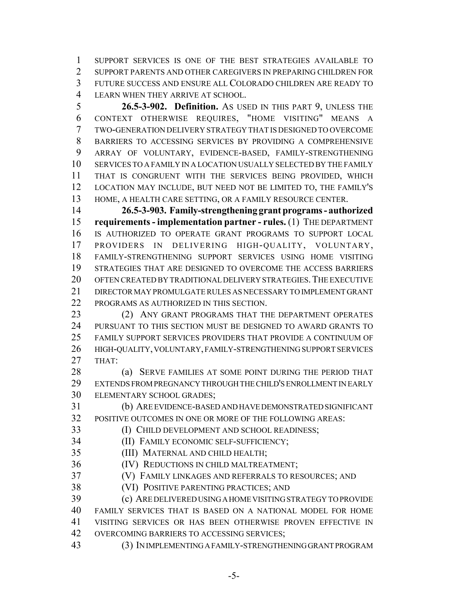SUPPORT SERVICES IS ONE OF THE BEST STRATEGIES AVAILABLE TO SUPPORT PARENTS AND OTHER CAREGIVERS IN PREPARING CHILDREN FOR FUTURE SUCCESS AND ENSURE ALL COLORADO CHILDREN ARE READY TO LEARN WHEN THEY ARRIVE AT SCHOOL.

 **26.5-3-902. Definition.** AS USED IN THIS PART 9, UNLESS THE CONTEXT OTHERWISE REQUIRES, "HOME VISITING" MEANS A TWO-GENERATION DELIVERY STRATEGY THAT IS DESIGNED TO OVERCOME BARRIERS TO ACCESSING SERVICES BY PROVIDING A COMPREHENSIVE ARRAY OF VOLUNTARY, EVIDENCE-BASED, FAMILY-STRENGTHENING SERVICES TO A FAMILY IN A LOCATION USUALLY SELECTED BY THE FAMILY THAT IS CONGRUENT WITH THE SERVICES BEING PROVIDED, WHICH LOCATION MAY INCLUDE, BUT NEED NOT BE LIMITED TO, THE FAMILY'S HOME, A HEALTH CARE SETTING, OR A FAMILY RESOURCE CENTER.

 **26.5-3-903. Family-strengthening grant programs - authorized requirements - implementation partner - rules.** (1) THE DEPARTMENT IS AUTHORIZED TO OPERATE GRANT PROGRAMS TO SUPPORT LOCAL PROVIDERS IN DELIVERING HIGH-QUALITY, VOLUNTARY, FAMILY-STRENGTHENING SUPPORT SERVICES USING HOME VISITING STRATEGIES THAT ARE DESIGNED TO OVERCOME THE ACCESS BARRIERS OFTEN CREATED BY TRADITIONAL DELIVERY STRATEGIES.THE EXECUTIVE DIRECTOR MAY PROMULGATE RULES AS NECESSARY TO IMPLEMENT GRANT PROGRAMS AS AUTHORIZED IN THIS SECTION.

23 (2) ANY GRANT PROGRAMS THAT THE DEPARTMENT OPERATES PURSUANT TO THIS SECTION MUST BE DESIGNED TO AWARD GRANTS TO FAMILY SUPPORT SERVICES PROVIDERS THAT PROVIDE A CONTINUUM OF HIGH-QUALITY, VOLUNTARY, FAMILY-STRENGTHENING SUPPORT SERVICES THAT:

28 (a) SERVE FAMILIES AT SOME POINT DURING THE PERIOD THAT EXTENDS FROM PREGNANCY THROUGH THE CHILD'S ENROLLMENT IN EARLY ELEMENTARY SCHOOL GRADES;

 (b) ARE EVIDENCE-BASED AND HAVE DEMONSTRATED SIGNIFICANT POSITIVE OUTCOMES IN ONE OR MORE OF THE FOLLOWING AREAS:

(I) CHILD DEVELOPMENT AND SCHOOL READINESS;

(II) FAMILY ECONOMIC SELF-SUFFICIENCY;

(III) MATERNAL AND CHILD HEALTH;

(IV) REDUCTIONS IN CHILD MALTREATMENT;

(V) FAMILY LINKAGES AND REFERRALS TO RESOURCES; AND

(VI) POSITIVE PARENTING PRACTICES; AND

 (c) ARE DELIVERED USING A HOME VISITING STRATEGY TO PROVIDE FAMILY SERVICES THAT IS BASED ON A NATIONAL MODEL FOR HOME VISITING SERVICES OR HAS BEEN OTHERWISE PROVEN EFFECTIVE IN 42 OVERCOMING BARRIERS TO ACCESSING SERVICES;

(3) IN IMPLEMENTING A FAMILY-STRENGTHENING GRANT PROGRAM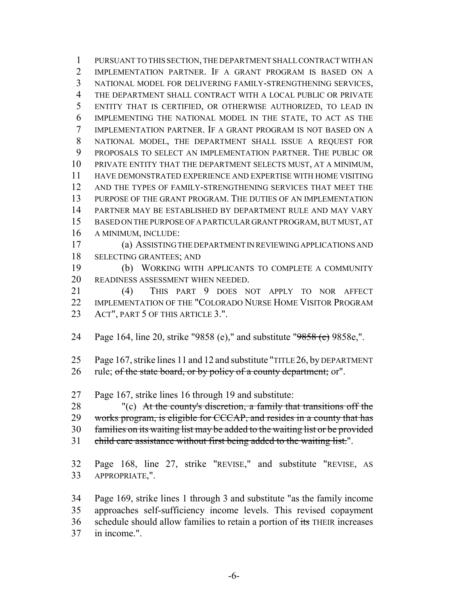PURSUANT TO THIS SECTION, THE DEPARTMENT SHALL CONTRACT WITH AN IMPLEMENTATION PARTNER. IF A GRANT PROGRAM IS BASED ON A NATIONAL MODEL FOR DELIVERING FAMILY-STRENGTHENING SERVICES, THE DEPARTMENT SHALL CONTRACT WITH A LOCAL PUBLIC OR PRIVATE ENTITY THAT IS CERTIFIED, OR OTHERWISE AUTHORIZED, TO LEAD IN IMPLEMENTING THE NATIONAL MODEL IN THE STATE, TO ACT AS THE IMPLEMENTATION PARTNER. IF A GRANT PROGRAM IS NOT BASED ON A NATIONAL MODEL, THE DEPARTMENT SHALL ISSUE A REQUEST FOR PROPOSALS TO SELECT AN IMPLEMENTATION PARTNER. THE PUBLIC OR PRIVATE ENTITY THAT THE DEPARTMENT SELECTS MUST, AT A MINIMUM, HAVE DEMONSTRATED EXPERIENCE AND EXPERTISE WITH HOME VISITING AND THE TYPES OF FAMILY-STRENGTHENING SERVICES THAT MEET THE PURPOSE OF THE GRANT PROGRAM. THE DUTIES OF AN IMPLEMENTATION PARTNER MAY BE ESTABLISHED BY DEPARTMENT RULE AND MAY VARY BASED ON THE PURPOSE OF A PARTICULAR GRANT PROGRAM, BUT MUST, AT A MINIMUM, INCLUDE:

 (a) ASSISTING THE DEPARTMENT IN REVIEWING APPLICATIONS AND SELECTING GRANTEES; AND

 (b) WORKING WITH APPLICANTS TO COMPLETE A COMMUNITY READINESS ASSESSMENT WHEN NEEDED.

 (4) THIS PART 9 DOES NOT APPLY TO NOR AFFECT IMPLEMENTATION OF THE "COLORADO NURSE HOME VISITOR PROGRAM 23 ACT", PART 5 OF THIS ARTICLE 3.".

24 Page 164, line 20, strike "9858 (e)," and substitute "9858 (e) 9858e,".

Page 167, strike lines 11 and 12 and substitute "TITLE 26, by DEPARTMENT

26 rule; of the state board, or by policy of a county department; or".

Page 167, strike lines 16 through 19 and substitute:

28 "(c) At the county's discretion, a family that transitions off the

29 works program, is eligible for CCCAP, and resides in a county that has

families on its waiting list may be added to the waiting list or be provided

31 child care assistance without first being added to the waiting list.".

 Page 168, line 27, strike "REVISE," and substitute "REVISE, AS APPROPRIATE,".

 Page 169, strike lines 1 through 3 and substitute "as the family income approaches self-sufficiency income levels. This revised copayment 36 schedule should allow families to retain a portion of its THEIR increases in income.".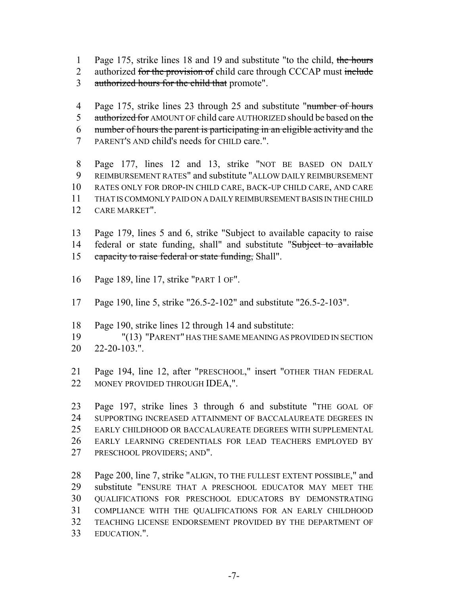- 1 Page 175, strike lines 18 and 19 and substitute "to the child, the hours
- 2 authorized for the provision of child care through CCCAP must include
- 3 authorized hours for the child that promote".
- 4 Page 175, strike lines 23 through 25 and substitute "number of hours" 5 authorized for AMOUNT OF child care AUTHORIZED should be based on the number of hours the parent is participating in an eligible activity and the
- PARENT'S AND child's needs for CHILD care.".

 Page 177, lines 12 and 13, strike "NOT BE BASED ON DAILY REIMBURSEMENT RATES" and substitute "ALLOW DAILY REIMBURSEMENT RATES ONLY FOR DROP-IN CHILD CARE, BACK-UP CHILD CARE, AND CARE THAT IS COMMONLY PAID ON A DAILY REIMBURSEMENT BASIS IN THE CHILD CARE MARKET".

 Page 179, lines 5 and 6, strike "Subject to available capacity to raise 14 federal or state funding, shall" and substitute "Subject to available 15 capacity to raise federal or state funding, Shall".

- Page 189, line 17, strike "PART 1 OF".
- Page 190, line 5, strike "26.5-2-102" and substitute "26.5-2-103".
- Page 190, strike lines 12 through 14 and substitute:
- "(13) "PARENT" HAS THE SAME MEANING AS PROVIDED IN SECTION 22-20-103.".

 Page 194, line 12, after "PRESCHOOL," insert "OTHER THAN FEDERAL MONEY PROVIDED THROUGH IDEA,".

 Page 197, strike lines 3 through 6 and substitute "THE GOAL OF SUPPORTING INCREASED ATTAINMENT OF BACCALAUREATE DEGREES IN EARLY CHILDHOOD OR BACCALAUREATE DEGREES WITH SUPPLEMENTAL EARLY LEARNING CREDENTIALS FOR LEAD TEACHERS EMPLOYED BY PRESCHOOL PROVIDERS; AND".

 Page 200, line 7, strike "ALIGN, TO THE FULLEST EXTENT POSSIBLE," and substitute "ENSURE THAT A PRESCHOOL EDUCATOR MAY MEET THE QUALIFICATIONS FOR PRESCHOOL EDUCATORS BY DEMONSTRATING COMPLIANCE WITH THE QUALIFICATIONS FOR AN EARLY CHILDHOOD TEACHING LICENSE ENDORSEMENT PROVIDED BY THE DEPARTMENT OF EDUCATION.".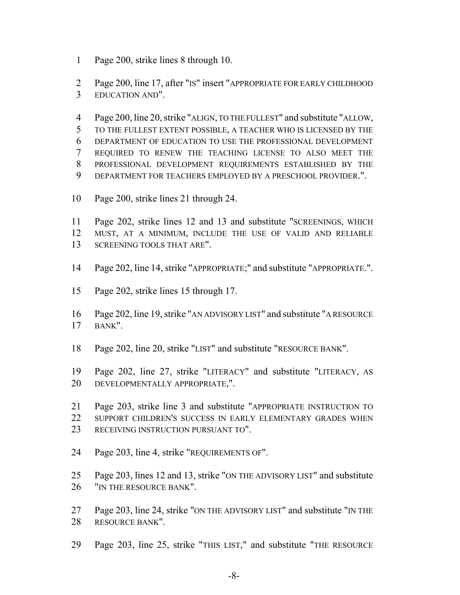Page 200, strike lines 8 through 10.

 Page 200, line 17, after "IS" insert "APPROPRIATE FOR EARLY CHILDHOOD EDUCATION AND".

 Page 200, line 20, strike "ALIGN, TO THE FULLEST" and substitute "ALLOW, TO THE FULLEST EXTENT POSSIBLE, A TEACHER WHO IS LICENSED BY THE DEPARTMENT OF EDUCATION TO USE THE PROFESSIONAL DEVELOPMENT REQUIRED TO RENEW THE TEACHING LICENSE TO ALSO MEET THE PROFESSIONAL DEVELOPMENT REQUIREMENTS ESTABLISHED BY THE DEPARTMENT FOR TEACHERS EMPLOYED BY A PRESCHOOL PROVIDER.".

- Page 200, strike lines 21 through 24.
- Page 202, strike lines 12 and 13 and substitute "SCREENINGS, WHICH MUST, AT A MINIMUM, INCLUDE THE USE OF VALID AND RELIABLE SCREENING TOOLS THAT ARE".
- Page 202, line 14, strike "APPROPRIATE;" and substitute "APPROPRIATE.".
- Page 202, strike lines 15 through 17.
- Page 202, line 19, strike "AN ADVISORY LIST" and substitute "A RESOURCE BANK".
- Page 202, line 20, strike "LIST" and substitute "RESOURCE BANK".
- Page 202, line 27, strike "LITERACY" and substitute "LITERACY, AS DEVELOPMENTALLY APPROPRIATE,".
- Page 203, strike line 3 and substitute "APPROPRIATE INSTRUCTION TO SUPPORT CHILDREN'S SUCCESS IN EARLY ELEMENTARY GRADES WHEN RECEIVING INSTRUCTION PURSUANT TO".
- Page 203, line 4, strike "REQUIREMENTS OF".
- Page 203, lines 12 and 13, strike "ON THE ADVISORY LIST" and substitute 26 "IN THE RESOURCE BANK".
- Page 203, line 24, strike "ON THE ADVISORY LIST" and substitute "IN THE RESOURCE BANK".
- Page 203, line 25, strike "THIS LIST," and substitute "THE RESOURCE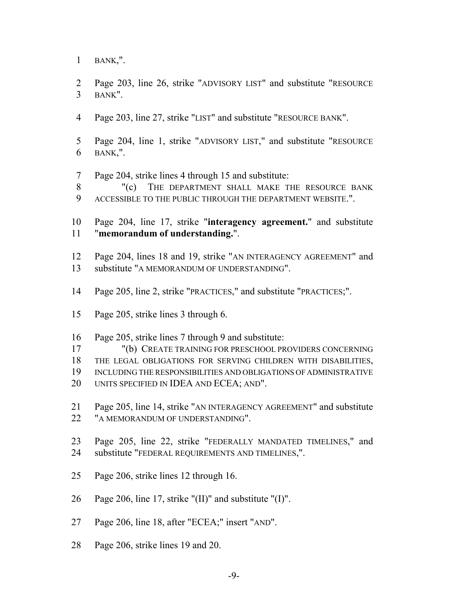BANK,".

 Page 203, line 26, strike "ADVISORY LIST" and substitute "RESOURCE BANK".

- Page 203, line 27, strike "LIST" and substitute "RESOURCE BANK".
- Page 204, line 1, strike "ADVISORY LIST," and substitute "RESOURCE BANK,".
- Page 204, strike lines 4 through 15 and substitute:
- 8 "(c) THE DEPARTMENT SHALL MAKE THE RESOURCE BANK ACCESSIBLE TO THE PUBLIC THROUGH THE DEPARTMENT WEBSITE.".

 Page 204, line 17, strike "**interagency agreement.**" and substitute "**memorandum of understanding.**".

- Page 204, lines 18 and 19, strike "AN INTERAGENCY AGREEMENT" and substitute "A MEMORANDUM OF UNDERSTANDING".
- Page 205, line 2, strike "PRACTICES," and substitute "PRACTICES;".
- Page 205, strike lines 3 through 6.
- Page 205, strike lines 7 through 9 and substitute:
- "(b) CREATE TRAINING FOR PRESCHOOL PROVIDERS CONCERNING
- THE LEGAL OBLIGATIONS FOR SERVING CHILDREN WITH DISABILITIES,
- INCLUDING THE RESPONSIBILITIES AND OBLIGATIONS OF ADMINISTRATIVE
- UNITS SPECIFIED IN IDEA AND ECEA; AND".
- Page 205, line 14, strike "AN INTERAGENCY AGREEMENT" and substitute 22 "A MEMORANDUM OF UNDERSTANDING".
- Page 205, line 22, strike "FEDERALLY MANDATED TIMELINES," and substitute "FEDERAL REQUIREMENTS AND TIMELINES,".
- Page 206, strike lines 12 through 16.
- Page 206, line 17, strike "(II)" and substitute "(I)".
- Page 206, line 18, after "ECEA;" insert "AND".
- Page 206, strike lines 19 and 20.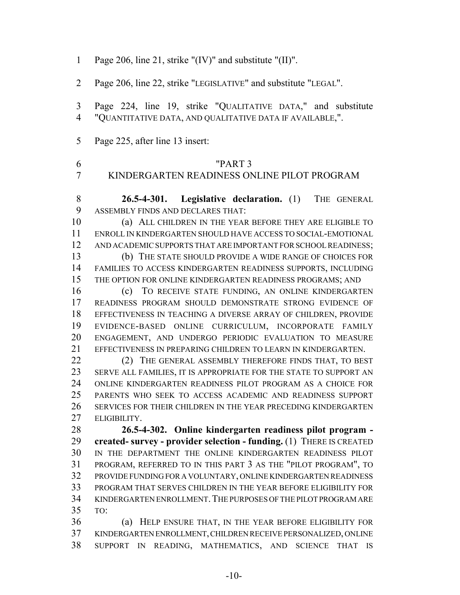| $\mathbf{1}$        | Page 206, line 21, strike "(IV)" and substitute "(II)".                                                                  |
|---------------------|--------------------------------------------------------------------------------------------------------------------------|
| $\overline{2}$      | Page 206, line 22, strike "LEGISLATIVE" and substitute "LEGAL".                                                          |
| 3<br>$\overline{4}$ | Page 224, line 19, strike "QUALITATIVE DATA," and substitute<br>"QUANTITATIVE DATA, AND QUALITATIVE DATA IF AVAILABLE,". |
| 5                   | Page 225, after line 13 insert:                                                                                          |
| 6<br>7              | "PART 3<br>KINDERGARTEN READINESS ONLINE PILOT PROGRAM                                                                   |
| 8                   | 26.5-4-301. Legislative declaration. (1) THE GENERAL                                                                     |
| 9                   | ASSEMBLY FINDS AND DECLARES THAT:                                                                                        |
| 10                  | (a) ALL CHILDREN IN THE YEAR BEFORE THEY ARE ELIGIBLE TO                                                                 |
| 11                  | ENROLL IN KINDERGARTEN SHOULD HAVE ACCESS TO SOCIAL-EMOTIONAL                                                            |
| 12                  | AND ACADEMIC SUPPORTS THAT ARE IMPORTANT FOR SCHOOL READINESS;                                                           |
| 13                  | (b) THE STATE SHOULD PROVIDE A WIDE RANGE OF CHOICES FOR                                                                 |
| 14                  | FAMILIES TO ACCESS KINDERGARTEN READINESS SUPPORTS, INCLUDING                                                            |
| 15                  | THE OPTION FOR ONLINE KINDERGARTEN READINESS PROGRAMS; AND                                                               |
| 16                  | TO RECEIVE STATE FUNDING, AN ONLINE KINDERGARTEN<br>(c)                                                                  |
| 17                  | READINESS PROGRAM SHOULD DEMONSTRATE STRONG EVIDENCE OF                                                                  |
| 18                  | EFFECTIVENESS IN TEACHING A DIVERSE ARRAY OF CHILDREN, PROVIDE                                                           |
| 19                  | EVIDENCE-BASED ONLINE CURRICULUM, INCORPORATE FAMILY                                                                     |
| 20                  | ENGAGEMENT, AND UNDERGO PERIODIC EVALUATION TO MEASURE                                                                   |
| 21                  | EFFECTIVENESS IN PREPARING CHILDREN TO LEARN IN KINDERGARTEN.                                                            |
| 22                  | (2) THE GENERAL ASSEMBLY THEREFORE FINDS THAT, TO BEST                                                                   |
| 23                  | SERVE ALL FAMILIES, IT IS APPROPRIATE FOR THE STATE TO SUPPORT AN                                                        |
| 24                  | ONLINE KINDERGARTEN READINESS PILOT PROGRAM AS A CHOICE FOR                                                              |
| 25                  | PARENTS WHO SEEK TO ACCESS ACADEMIC AND READINESS SUPPORT                                                                |
| 26                  | SERVICES FOR THEIR CHILDREN IN THE YEAR PRECEDING KINDERGARTEN                                                           |
| 27                  | ELIGIBILITY.                                                                                                             |
| 28                  | 26.5-4-302. Online kindergarten readiness pilot program -                                                                |
| 29                  | created- survey - provider selection - funding. (1) THERE IS CREATED                                                     |
| 30                  | IN THE DEPARTMENT THE ONLINE KINDERGARTEN READINESS PILOT                                                                |
| 31                  | PROGRAM, REFERRED TO IN THIS PART 3 AS THE "PILOT PROGRAM", TO                                                           |
| 32                  | PROVIDE FUNDING FOR A VOLUNTARY, ONLINE KINDERGARTEN READINESS                                                           |
| 33                  | PROGRAM THAT SERVES CHILDREN IN THE YEAR BEFORE ELIGIBILITY FOR                                                          |
| 34                  | KINDERGARTEN ENROLLMENT. THE PURPOSES OF THE PILOT PROGRAM ARE                                                           |
| 35                  | TO:                                                                                                                      |
| 36                  | HELP ENSURE THAT, IN THE YEAR BEFORE ELIGIBILITY FOR<br>(a)                                                              |
| 37                  | KINDERGARTEN ENROLLMENT, CHILDREN RECEIVE PERSONALIZED, ONLINE                                                           |
| 38                  | SUPPORT IN READING, MATHEMATICS, AND SCIENCE THAT IS                                                                     |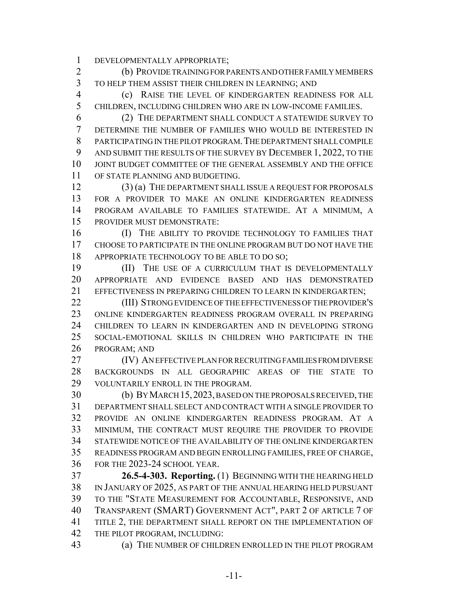DEVELOPMENTALLY APPROPRIATE;

 (b) PROVIDE TRAINING FOR PARENTS AND OTHER FAMILY MEMBERS TO HELP THEM ASSIST THEIR CHILDREN IN LEARNING; AND

 (c) RAISE THE LEVEL OF KINDERGARTEN READINESS FOR ALL CHILDREN, INCLUDING CHILDREN WHO ARE IN LOW-INCOME FAMILIES.

 (2) THE DEPARTMENT SHALL CONDUCT A STATEWIDE SURVEY TO DETERMINE THE NUMBER OF FAMILIES WHO WOULD BE INTERESTED IN PARTICIPATING IN THE PILOT PROGRAM.THE DEPARTMENT SHALL COMPILE AND SUBMIT THE RESULTS OF THE SURVEY BY DECEMBER 1, 2022, TO THE JOINT BUDGET COMMITTEE OF THE GENERAL ASSEMBLY AND THE OFFICE OF STATE PLANNING AND BUDGETING.

 (3) (a) THE DEPARTMENT SHALL ISSUE A REQUEST FOR PROPOSALS FOR A PROVIDER TO MAKE AN ONLINE KINDERGARTEN READINESS PROGRAM AVAILABLE TO FAMILIES STATEWIDE. AT A MINIMUM, A PROVIDER MUST DEMONSTRATE:

 (I) THE ABILITY TO PROVIDE TECHNOLOGY TO FAMILIES THAT CHOOSE TO PARTICIPATE IN THE ONLINE PROGRAM BUT DO NOT HAVE THE APPROPRIATE TECHNOLOGY TO BE ABLE TO DO SO;

**(II)** THE USE OF A CURRICULUM THAT IS DEVELOPMENTALLY APPROPRIATE AND EVIDENCE BASED AND HAS DEMONSTRATED EFFECTIVENESS IN PREPARING CHILDREN TO LEARN IN KINDERGARTEN;

 (III) STRONG EVIDENCE OF THE EFFECTIVENESS OF THE PROVIDER'S ONLINE KINDERGARTEN READINESS PROGRAM OVERALL IN PREPARING CHILDREN TO LEARN IN KINDERGARTEN AND IN DEVELOPING STRONG SOCIAL-EMOTIONAL SKILLS IN CHILDREN WHO PARTICIPATE IN THE PROGRAM; AND

 (IV) AN EFFECTIVE PLAN FOR RECRUITING FAMILIES FROM DIVERSE BACKGROUNDS IN ALL GEOGRAPHIC AREAS OF THE STATE TO 29 VOLUNTARILY ENROLL IN THE PROGRAM.

 (b) BY MARCH 15,2023, BASED ON THE PROPOSALS RECEIVED, THE DEPARTMENT SHALL SELECT AND CONTRACT WITH A SINGLE PROVIDER TO PROVIDE AN ONLINE KINDERGARTEN READINESS PROGRAM. AT A MINIMUM, THE CONTRACT MUST REQUIRE THE PROVIDER TO PROVIDE STATEWIDE NOTICE OF THE AVAILABILITY OF THE ONLINE KINDERGARTEN READINESS PROGRAM AND BEGIN ENROLLING FAMILIES, FREE OF CHARGE, FOR THE 2023-24 SCHOOL YEAR.

 **26.5-4-303. Reporting.** (1) BEGINNING WITH THE HEARING HELD IN JANUARY OF 2025, AS PART OF THE ANNUAL HEARING HELD PURSUANT TO THE "STATE MEASUREMENT FOR ACCOUNTABLE, RESPONSIVE, AND TRANSPARENT (SMART) GOVERNMENT ACT", PART 2 OF ARTICLE 7 OF TITLE 2, THE DEPARTMENT SHALL REPORT ON THE IMPLEMENTATION OF THE PILOT PROGRAM, INCLUDING:

(a) THE NUMBER OF CHILDREN ENROLLED IN THE PILOT PROGRAM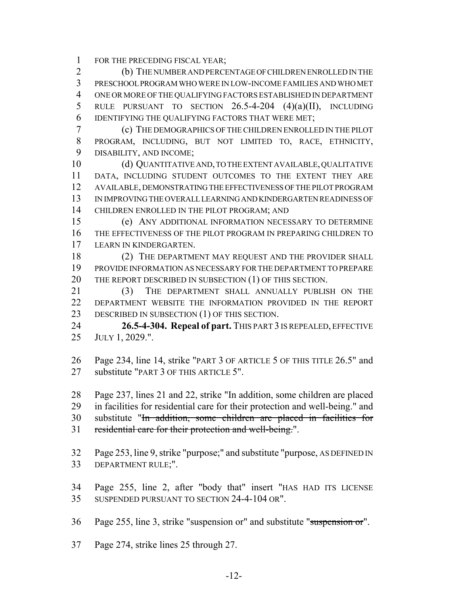FOR THE PRECEDING FISCAL YEAR;

 (b) THE NUMBER AND PERCENTAGE OF CHILDREN ENROLLED IN THE PRESCHOOL PROGRAM WHO WERE IN LOW-INCOME FAMILIES AND WHO MET ONE OR MORE OF THE QUALIFYING FACTORS ESTABLISHED IN DEPARTMENT RULE PURSUANT TO SECTION 26.5-4-204 (4)(a)(II), INCLUDING IDENTIFYING THE QUALIFYING FACTORS THAT WERE MET;

 (c) THE DEMOGRAPHICS OF THE CHILDREN ENROLLED IN THE PILOT PROGRAM, INCLUDING, BUT NOT LIMITED TO, RACE, ETHNICITY, DISABILITY, AND INCOME;

 (d) QUANTITATIVE AND, TO THE EXTENT AVAILABLE, QUALITATIVE DATA, INCLUDING STUDENT OUTCOMES TO THE EXTENT THEY ARE AVAILABLE, DEMONSTRATING THE EFFECTIVENESS OF THE PILOT PROGRAM IN IMPROVING THE OVERALL LEARNING AND KINDERGARTEN READINESS OF CHILDREN ENROLLED IN THE PILOT PROGRAM; AND

 (e) ANY ADDITIONAL INFORMATION NECESSARY TO DETERMINE THE EFFECTIVENESS OF THE PILOT PROGRAM IN PREPARING CHILDREN TO LEARN IN KINDERGARTEN.

18 (2) THE DEPARTMENT MAY REQUEST AND THE PROVIDER SHALL PROVIDE INFORMATION AS NECESSARY FOR THE DEPARTMENT TO PREPARE 20 THE REPORT DESCRIBED IN SUBSECTION (1) OF THIS SECTION.

 (3) THE DEPARTMENT SHALL ANNUALLY PUBLISH ON THE DEPARTMENT WEBSITE THE INFORMATION PROVIDED IN THE REPORT 23 DESCRIBED IN SUBSECTION (1) OF THIS SECTION.

 **26.5-4-304. Repeal of part.** THIS PART 3 IS REPEALED, EFFECTIVE JULY 1, 2029.".

 Page 234, line 14, strike "PART 3 OF ARTICLE 5 OF THIS TITLE 26.5" and substitute "PART 3 OF THIS ARTICLE 5".

Page 237, lines 21 and 22, strike "In addition, some children are placed

in facilities for residential care for their protection and well-being." and

substitute "In addition, some children are placed in facilities for

residential care for their protection and well-being.".

 Page 253, line 9, strike "purpose;" and substitute "purpose, AS DEFINED IN DEPARTMENT RULE;".

 Page 255, line 2, after "body that" insert "HAS HAD ITS LICENSE SUSPENDED PURSUANT TO SECTION 24-4-104 OR".

Page 255, line 3, strike "suspension or" and substitute "suspension or".

Page 274, strike lines 25 through 27.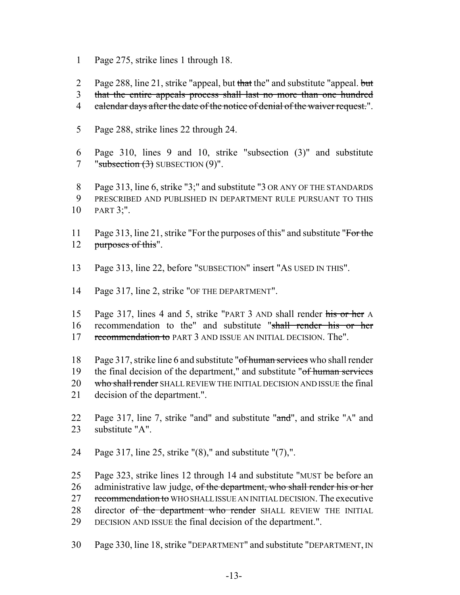- 1 Page 275, strike lines 1 through 18.
- 2 Page 288, line 21, strike "appeal, but that the" and substitute "appeal. but

3 that the entire appeals process shall last no more than one hundred

- 4 calendar days after the date of the notice of denial of the waiver request.".
- 5 Page 288, strike lines 22 through 24.
- 6 Page 310, lines 9 and 10, strike "subsection (3)" and substitute 7 "subsection  $(3)$  SUBSECTION  $(9)$ ".
- 8 Page 313, line 6, strike "3;" and substitute "3 OR ANY OF THE STANDARDS 9 PRESCRIBED AND PUBLISHED IN DEPARTMENT RULE PURSUANT TO THIS
- 10 PART 3;".
- 11 Page 313, line 21, strike "For the purposes of this" and substitute "For the 12 purposes of this".
- 13 Page 313, line 22, before "SUBSECTION" insert "AS USED IN THIS".
- 14 Page 317, line 2, strike "OF THE DEPARTMENT".
- 15 Page 317, lines 4 and 5, strike "PART 3 AND shall render his or her A 16 recommendation to the" and substitute "shall render his or her 17 recommendation to PART 3 AND ISSUE AN INITIAL DECISION. The".
- 18 Page 317, strike line 6 and substitute "of human services who shall render 19 the final decision of the department," and substitute "of human services 20 who shall render SHALL REVIEW THE INITIAL DECISION AND ISSUE the final 21 decision of the department.".
- 22 Page 317, line 7, strike "and" and substitute "and", and strike "A" and 23 substitute "A".
- 24 Page 317, line 25, strike "(8)," and substitute "(7),".

25 Page 323, strike lines 12 through 14 and substitute "MUST be before an 26 administrative law judge, of the department, who shall render his or her 27 recommendation to WHO SHALL ISSUE AN INITIAL DECISION. The executive 28 director of the department who render SHALL REVIEW THE INITIAL 29 DECISION AND ISSUE the final decision of the department.".

30 Page 330, line 18, strike "DEPARTMENT" and substitute "DEPARTMENT, IN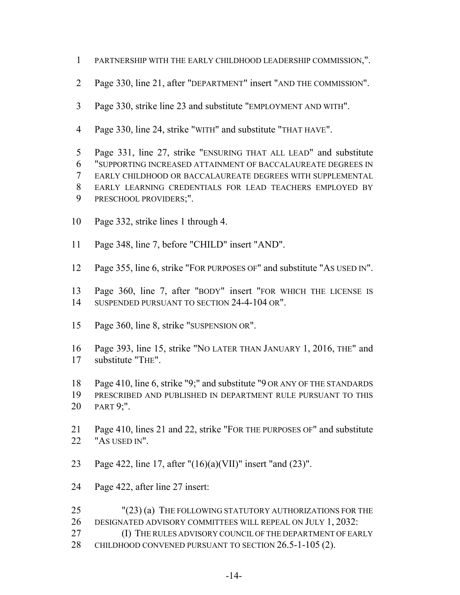- PARTNERSHIP WITH THE EARLY CHILDHOOD LEADERSHIP COMMISSION,".
- Page 330, line 21, after "DEPARTMENT" insert "AND THE COMMISSION".
- Page 330, strike line 23 and substitute "EMPLOYMENT AND WITH".
- Page 330, line 24, strike "WITH" and substitute "THAT HAVE".
- Page 331, line 27, strike "ENSURING THAT ALL LEAD" and substitute "SUPPORTING INCREASED ATTAINMENT OF BACCALAUREATE DEGREES IN EARLY CHILDHOOD OR BACCALAUREATE DEGREES WITH SUPPLEMENTAL EARLY LEARNING CREDENTIALS FOR LEAD TEACHERS EMPLOYED BY PRESCHOOL PROVIDERS;".
- Page 332, strike lines 1 through 4.
- Page 348, line 7, before "CHILD" insert "AND".
- Page 355, line 6, strike "FOR PURPOSES OF" and substitute "AS USED IN".
- Page 360, line 7, after "BODY" insert "FOR WHICH THE LICENSE IS SUSPENDED PURSUANT TO SECTION 24-4-104 OR".
- Page 360, line 8, strike "SUSPENSION OR".
- Page 393, line 15, strike "NO LATER THAN JANUARY 1, 2016, THE" and substitute "THE".
- Page 410, line 6, strike "9;" and substitute "9 OR ANY OF THE STANDARDS
- PRESCRIBED AND PUBLISHED IN DEPARTMENT RULE PURSUANT TO THIS PART 9;".
- Page 410, lines 21 and 22, strike "FOR THE PURPOSES OF" and substitute "AS USED IN".
- Page 422, line 17, after "(16)(a)(VII)" insert "and (23)".
- Page 422, after line 27 insert:
- 25 "(23) (a) THE FOLLOWING STATUTORY AUTHORIZATIONS FOR THE DESIGNATED ADVISORY COMMITTEES WILL REPEAL ON JULY 1, 2032: **(I) THE RULES ADVISORY COUNCIL OF THE DEPARTMENT OF EARLY**
- CHILDHOOD CONVENED PURSUANT TO SECTION 26.5-1-105 (2).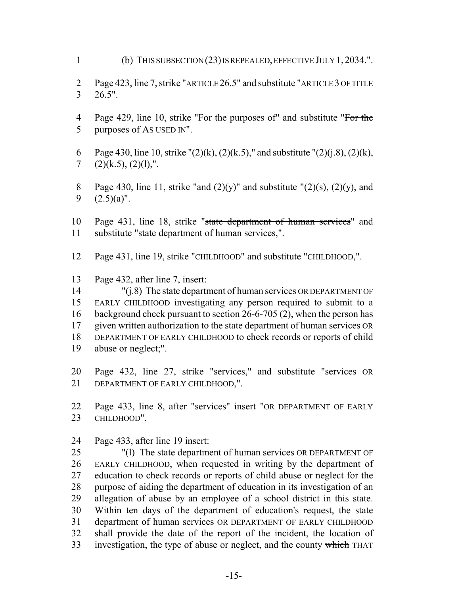(b) THIS SUBSECTION (23) IS REPEALED, EFFECTIVE JULY 1, 2034.".

 Page 423, line 7, strike "ARTICLE 26.5" and substitute "ARTICLE 3 OF TITLE 26.5".

- 4 Page 429, line 10, strike "For the purposes of" and substitute "For the 5 purposes of AS USED IN".
- 6 Page 430, line 10, strike " $(2)(k)$ ,  $(2)(k.5)$ ," and substitute " $(2)(i.8)$ ,  $(2)(k)$ , 7  $(2)(k.5), (2)(1),".$
- 8 Page 430, line 11, strike "and  $(2)(y)$ " and substitute " $(2)(s)$ ,  $(2)(y)$ , and 9  $(2.5)(a)$ ".
- 10 Page 431, line 18, strike "state department of human services" and substitute "state department of human services,".
- Page 431, line 19, strike "CHILDHOOD" and substitute "CHILDHOOD,".
- Page 432, after line 7, insert:

 "(j.8) The state department of human services OR DEPARTMENT OF EARLY CHILDHOOD investigating any person required to submit to a background check pursuant to section 26-6-705 (2), when the person has given written authorization to the state department of human services OR DEPARTMENT OF EARLY CHILDHOOD to check records or reports of child abuse or neglect;".

- Page 432, line 27, strike "services," and substitute "services OR 21 DEPARTMENT OF EARLY CHILDHOOD,".
- Page 433, line 8, after "services" insert "OR DEPARTMENT OF EARLY CHILDHOOD".
- Page 433, after line 19 insert:

 "(l) The state department of human services OR DEPARTMENT OF EARLY CHILDHOOD, when requested in writing by the department of education to check records or reports of child abuse or neglect for the purpose of aiding the department of education in its investigation of an allegation of abuse by an employee of a school district in this state. Within ten days of the department of education's request, the state department of human services OR DEPARTMENT OF EARLY CHILDHOOD shall provide the date of the report of the incident, the location of 33 investigation, the type of abuse or neglect, and the county which THAT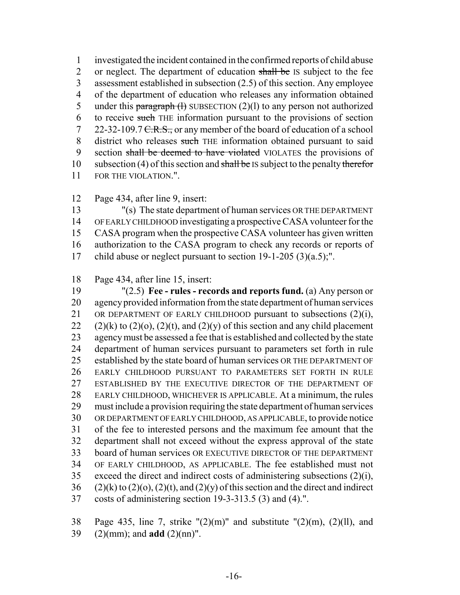investigated the incident contained in the confirmed reports of child abuse 2 or neglect. The department of education shall be IS subject to the fee assessment established in subsection (2.5) of this section. Any employee of the department of education who releases any information obtained 5 under this paragraph  $(1)$  SUBSECTION  $(2)(1)$  to any person not authorized to receive such THE information pursuant to the provisions of section 7 22-32-109.7 <del>C.R.S.,</del> or any member of the board of education of a school 8 district who releases such THE information obtained pursuant to said 9 section shall be deemed to have violated VIOLATES the provisions of 10 subsection (4) of this section and shall be IS subject to the penalty therefor FOR THE VIOLATION.".

Page 434, after line 9, insert:

 "(s) The state department of human services OR THE DEPARTMENT OF EARLY CHILDHOOD investigating a prospective CASA volunteer for the CASA program when the prospective CASA volunteer has given written authorization to the CASA program to check any records or reports of child abuse or neglect pursuant to section 19-1-205 (3)(a.5);".

Page 434, after line 15, insert:

 "(2.5) **Fee - rules - records and reports fund.** (a) Any person or agency provided information from the state department of human services 21 OR DEPARTMENT OF EARLY CHILDHOOD pursuant to subsections  $(2)(i)$ , 22 (2)(k) to (2)(o), (2)(t), and (2)(y) of this section and any child placement agency must be assessed a fee that is established and collected by the state department of human services pursuant to parameters set forth in rule established by the state board of human services OR THE DEPARTMENT OF EARLY CHILDHOOD PURSUANT TO PARAMETERS SET FORTH IN RULE ESTABLISHED BY THE EXECUTIVE DIRECTOR OF THE DEPARTMENT OF EARLY CHILDHOOD, WHICHEVER IS APPLICABLE. At a minimum, the rules must include a provision requiring the state department of human services OR DEPARTMENT OF EARLY CHILDHOOD, AS APPLICABLE, to provide notice of the fee to interested persons and the maximum fee amount that the department shall not exceed without the express approval of the state board of human services OR EXECUTIVE DIRECTOR OF THE DEPARTMENT OF EARLY CHILDHOOD, AS APPLICABLE. The fee established must not 35 exceed the direct and indirect costs of administering subsections  $(2)(i)$ , (2)(k) to (2)(o), (2)(t), and (2)(y) of this section and the direct and indirect costs of administering section 19-3-313.5 (3) and (4).".

38 Page 435, line 7, strike " $(2)(m)$ " and substitute " $(2)(m)$ ,  $(2)(11)$ , and (2)(mm); and **add** (2)(nn)".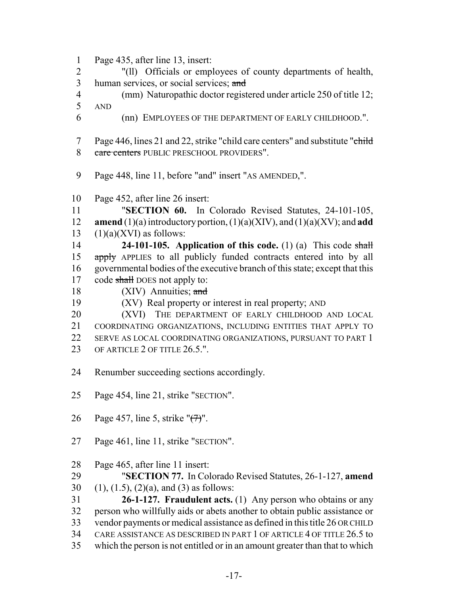- Page 435, after line 13, insert:
- "(ll) Officials or employees of county departments of health, 3 human services, or social services; and
- (mm) Naturopathic doctor registered under article 250 of title 12;
- AND
- (nn) EMPLOYEES OF THE DEPARTMENT OF EARLY CHILDHOOD.".
- 7 Page 446, lines 21 and 22, strike "child care centers" and substitute "child" 8 care centers PUBLIC PRESCHOOL PROVIDERS".
- Page 448, line 11, before "and" insert "AS AMENDED,".
- Page 452, after line 26 insert:
- "**SECTION 60.** In Colorado Revised Statutes, 24-101-105, **amend** (1)(a) introductory portion, (1)(a)(XIV), and (1)(a)(XV); and **add** 13  $(1)(a)(XVI)$  as follows:
- **24-101-105. Application of this code.** (1) (a) This code shall 15 apply APPLIES to all publicly funded contracts entered into by all governmental bodies of the executive branch of this state; except that this 17 code shall DOES not apply to:
- 18 (XIV) Annuities; and
- (XV) Real property or interest in real property; AND
- 20 (XVI) THE DEPARTMENT OF EARLY CHILDHOOD AND LOCAL COORDINATING ORGANIZATIONS, INCLUDING ENTITIES THAT APPLY TO SERVE AS LOCAL COORDINATING ORGANIZATIONS, PURSUANT TO PART 1 23 OF ARTICLE 2 OF TITLE 26.5.".
- Renumber succeeding sections accordingly.
- Page 454, line 21, strike "SECTION".
- Page 457, line 5, strike "(7)".
- Page 461, line 11, strike "SECTION".
- Page 465, after line 11 insert:
- "**SECTION 77.** In Colorado Revised Statutes, 26-1-127, **amend**
- 30 (1), (1.5), (2)(a), and (3) as follows:
- **26-1-127. Fraudulent acts.** (1) Any person who obtains or any person who willfully aids or abets another to obtain public assistance or vendor payments or medical assistance as defined in this title 26 OR CHILD CARE ASSISTANCE AS DESCRIBED IN PART 1 OF ARTICLE 4 OF TITLE 26.5 to which the person is not entitled or in an amount greater than that to which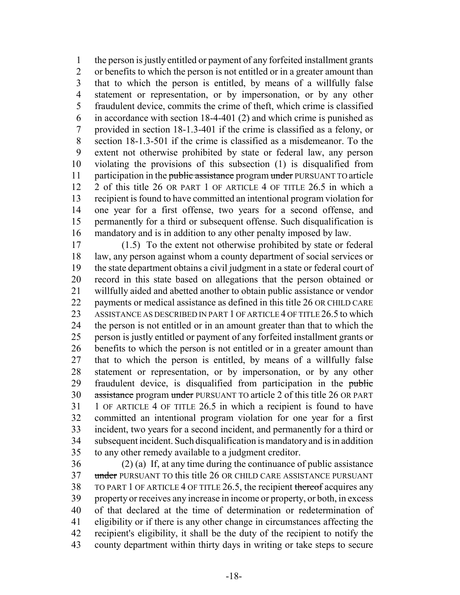the person is justly entitled or payment of any forfeited installment grants or benefits to which the person is not entitled or in a greater amount than that to which the person is entitled, by means of a willfully false statement or representation, or by impersonation, or by any other fraudulent device, commits the crime of theft, which crime is classified in accordance with section 18-4-401 (2) and which crime is punished as provided in section 18-1.3-401 if the crime is classified as a felony, or section 18-1.3-501 if the crime is classified as a misdemeanor. To the extent not otherwise prohibited by state or federal law, any person violating the provisions of this subsection (1) is disqualified from 11 participation in the public assistance program under PURSUANT TO article 2 of this title 26 OR PART 1 OF ARTICLE 4 OF TITLE 26.5 in which a recipient is found to have committed an intentional program violation for one year for a first offense, two years for a second offense, and permanently for a third or subsequent offense. Such disqualification is mandatory and is in addition to any other penalty imposed by law.

 (1.5) To the extent not otherwise prohibited by state or federal law, any person against whom a county department of social services or the state department obtains a civil judgment in a state or federal court of record in this state based on allegations that the person obtained or willfully aided and abetted another to obtain public assistance or vendor payments or medical assistance as defined in this title 26 OR CHILD CARE 23 ASSISTANCE AS DESCRIBED IN PART 1 OF ARTICLE 4 OF TITLE 26.5 to which the person is not entitled or in an amount greater than that to which the person is justly entitled or payment of any forfeited installment grants or benefits to which the person is not entitled or in a greater amount than that to which the person is entitled, by means of a willfully false statement or representation, or by impersonation, or by any other 29 fraudulent device, is disqualified from participation in the public 30 assistance program under PURSUANT TO article 2 of this title 26 OR PART 1 OF ARTICLE 4 OF TITLE 26.5 in which a recipient is found to have committed an intentional program violation for one year for a first incident, two years for a second incident, and permanently for a third or subsequent incident. Such disqualification is mandatory and is in addition to any other remedy available to a judgment creditor.

 (2) (a) If, at any time during the continuance of public assistance 37 under PURSUANT TO this title 26 OR CHILD CARE ASSISTANCE PURSUANT 38 TO PART 1 OF ARTICLE 4 OF TITLE 26.5, the recipient thereof acquires any property or receives any increase in income or property, or both, in excess of that declared at the time of determination or redetermination of eligibility or if there is any other change in circumstances affecting the recipient's eligibility, it shall be the duty of the recipient to notify the county department within thirty days in writing or take steps to secure